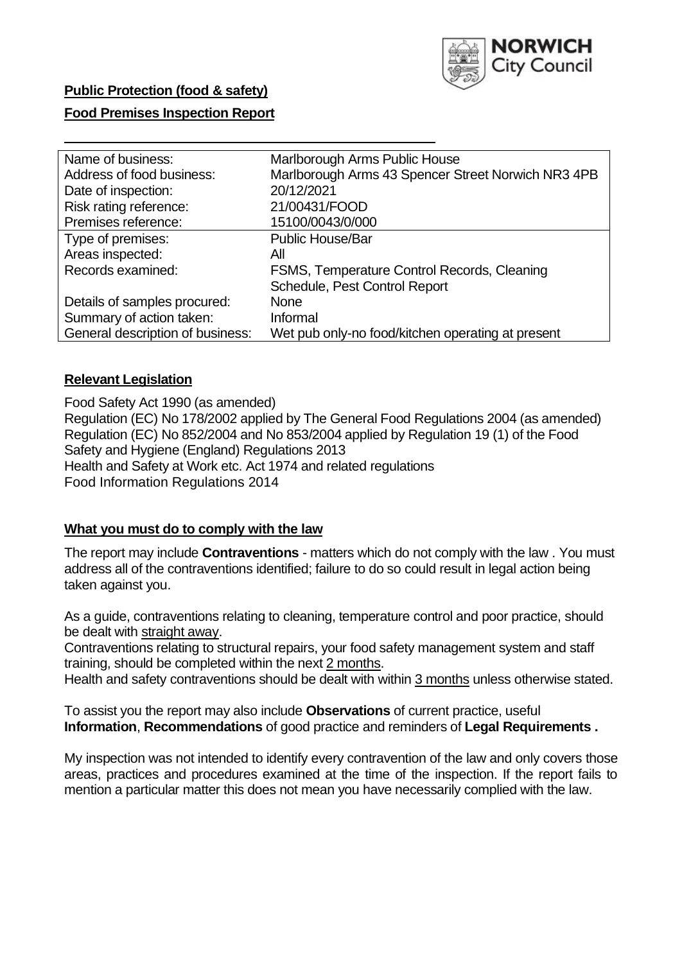

# **Public Protection (food & safety)**

### **Food Premises Inspection Report**

| Name of business:                | Marlborough Arms Public House                      |  |  |  |  |
|----------------------------------|----------------------------------------------------|--|--|--|--|
| Address of food business:        | Marlborough Arms 43 Spencer Street Norwich NR3 4PB |  |  |  |  |
| Date of inspection:              | 20/12/2021                                         |  |  |  |  |
| Risk rating reference:           | 21/00431/FOOD                                      |  |  |  |  |
| Premises reference:              | 15100/0043/0/000                                   |  |  |  |  |
| Type of premises:                | <b>Public House/Bar</b>                            |  |  |  |  |
| Areas inspected:                 | All                                                |  |  |  |  |
| Records examined:                | FSMS, Temperature Control Records, Cleaning        |  |  |  |  |
|                                  | Schedule, Pest Control Report                      |  |  |  |  |
| Details of samples procured:     | <b>None</b>                                        |  |  |  |  |
| Summary of action taken:         | Informal                                           |  |  |  |  |
| General description of business: | Wet pub only-no food/kitchen operating at present  |  |  |  |  |

#### **Relevant Legislation**

 Food Safety Act 1990 (as amended) Regulation (EC) No 178/2002 applied by The General Food Regulations 2004 (as amended) Regulation (EC) No 852/2004 and No 853/2004 applied by Regulation 19 (1) of the Food Safety and Hygiene (England) Regulations 2013 Health and Safety at Work etc. Act 1974 and related regulations Food Information Regulations 2014

### **What you must do to comply with the law**

 The report may include **Contraventions** - matters which do not comply with the law . You must address all of the contraventions identified; failure to do so could result in legal action being taken against you.

 As a guide, contraventions relating to cleaning, temperature control and poor practice, should be dealt with straight away.

 Contraventions relating to structural repairs, your food safety management system and staff training, should be completed within the next 2 months.

Health and safety contraventions should be dealt with within 3 months unless otherwise stated.

 To assist you the report may also include **Observations** of current practice, useful **Information**, **Recommendations** of good practice and reminders of **Legal Requirements .** 

 My inspection was not intended to identify every contravention of the law and only covers those areas, practices and procedures examined at the time of the inspection. If the report fails to mention a particular matter this does not mean you have necessarily complied with the law.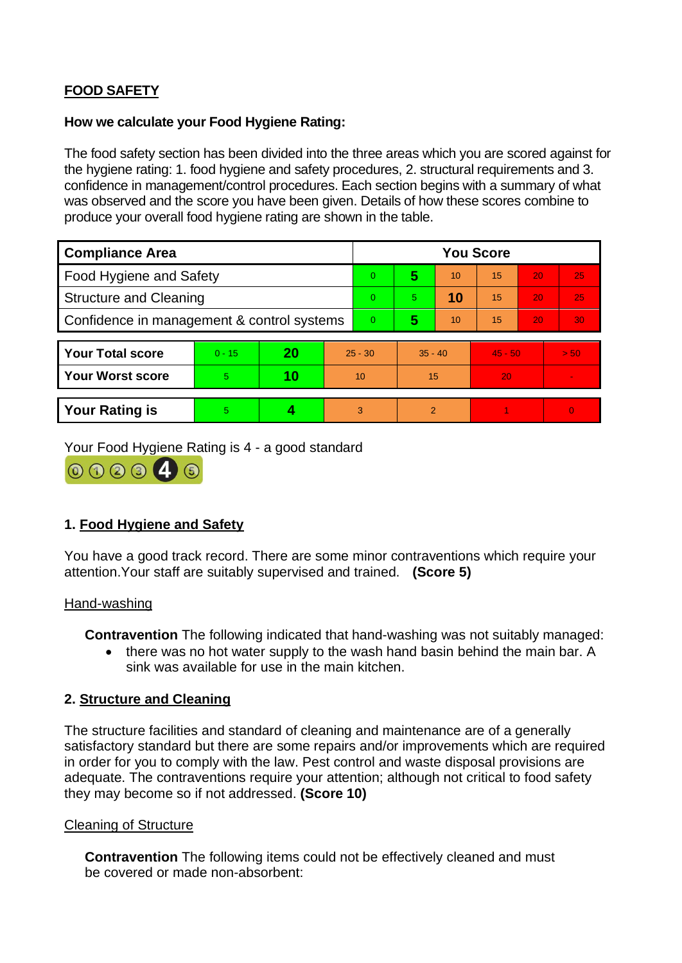# **FOOD SAFETY**

### **How we calculate your Food Hygiene Rating:**

 The food safety section has been divided into the three areas which you are scored against for the hygiene rating: 1. food hygiene and safety procedures, 2. structural requirements and 3. confidence in management/control procedures. Each section begins with a summary of what was observed and the score you have been given. Details of how these scores combine to produce your overall food hygiene rating are shown in the table.

| <b>Compliance Area</b>                     |          |    |           | <b>You Score</b> |                |    |           |    |                |  |  |
|--------------------------------------------|----------|----|-----------|------------------|----------------|----|-----------|----|----------------|--|--|
| Food Hygiene and Safety                    |          |    |           | $\Omega$         | 5              | 10 | 15        | 20 | 25             |  |  |
| <b>Structure and Cleaning</b>              |          |    |           | $\Omega$         | 5              | 10 | 15        | 20 | 25             |  |  |
| Confidence in management & control systems |          |    |           | $\overline{0}$   | 5              | 10 | 15        | 20 | 30             |  |  |
|                                            |          |    |           |                  |                |    |           |    |                |  |  |
| <b>Your Total score</b>                    | $0 - 15$ | 20 | $25 - 30$ |                  | $35 - 40$      |    | $45 - 50$ |    | > 50           |  |  |
| <b>Your Worst score</b>                    | 5        | 10 | 10        |                  | 15             |    | 20        |    | $\blacksquare$ |  |  |
|                                            |          |    |           |                  |                |    |           |    |                |  |  |
| <b>Your Rating is</b>                      | 5        |    |           | 3                | $\overline{2}$ |    |           |    | $\Omega$       |  |  |

Your Food Hygiene Rating is 4 - a good standard



## **1. Food Hygiene and Safety**

You have a good track record. There are some minor contraventions which require your attention.Your staff are suitably supervised and trained. **(Score 5)** 

### Hand-washing

**Contravention** The following indicated that hand-washing was not suitably managed:

• there was no hot water supply to the wash hand basin behind the main bar. A sink was available for use in the main kitchen.

## **2. Structure and Cleaning**

 satisfactory standard but there are some repairs and/or improvements which are required The structure facilities and standard of cleaning and maintenance are of a generally in order for you to comply with the law. Pest control and waste disposal provisions are adequate. The contraventions require your attention; although not critical to food safety they may become so if not addressed. **(Score 10)** 

### Cleaning of Structure

**Contravention** The following items could not be effectively cleaned and must be covered or made non-absorbent: